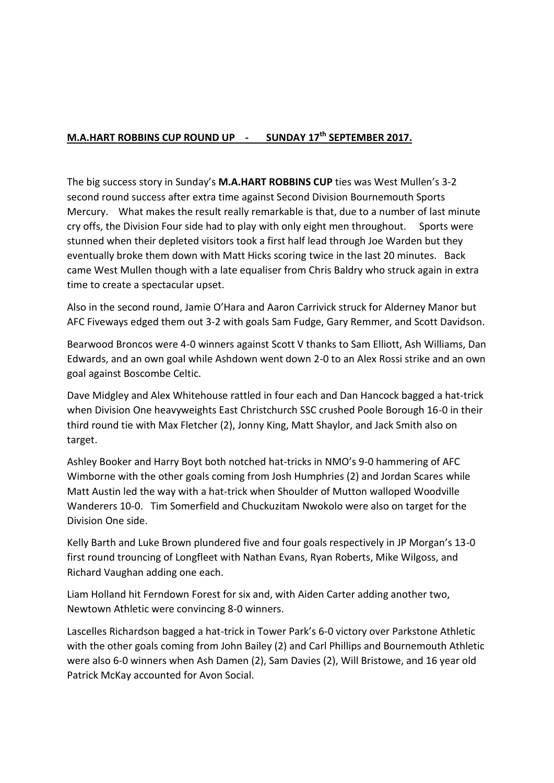## **M.A.HART ROBBINS CUP ROUND UP - SUNDAY 17th SEPTEMBER 2017.**

The big success story in Sunday's **M.A.HART ROBBINS CUP** ties was West Mullen's 3-2 second round success after extra time against Second Division Bournemouth Sports Mercury. What makes the result really remarkable is that, due to a number of last minute cry offs, the Division Four side had to play with only eight men throughout. Sports were stunned when their depleted visitors took a first half lead through Joe Warden but they eventually broke them down with Matt Hicks scoring twice in the last 20 minutes. Back came West Mullen though with a late equaliser from Chris Baldry who struck again in extra time to create a spectacular upset.

Also in the second round, Jamie O'Hara and Aaron Carrivick struck for Alderney Manor but AFC Fiveways edged them out 3-2 with goals Sam Fudge, Gary Remmer, and Scott Davidson.

Bearwood Broncos were 4-0 winners against Scott V thanks to Sam Elliott, Ash Williams, Dan Edwards, and an own goal while Ashdown went down 2-0 to an Alex Rossi strike and an own goal against Boscombe Celtic.

Dave Midgley and Alex Whitehouse rattled in four each and Dan Hancock bagged a hat-trick when Division One heavyweights East Christchurch SSC crushed Poole Borough 16-0 in their third round tie with Max Fletcher (2), Jonny King, Matt Shaylor, and Jack Smith also on target.

Ashley Booker and Harry Boyt both notched hat-tricks in NMO's 9-0 hammering of AFC Wimborne with the other goals coming from Josh Humphries (2) and Jordan Scares while Matt Austin led the way with a hat-trick when Shoulder of Mutton walloped Woodville Wanderers 10-0. Tim Somerfield and Chuckuzitam Nwokolo were also on target for the Division One side.

Kelly Barth and Luke Brown plundered five and four goals respectively in JP Morgan's 13-0 first round trouncing of Longfleet with Nathan Evans, Ryan Roberts, Mike Wilgoss, and Richard Vaughan adding one each.

Liam Holland hit Ferndown Forest for six and, with Aiden Carter adding another two, Newtown Athletic were convincing 8-0 winners.

Lascelles Richardson bagged a hat-trick in Tower Park's 6-0 victory over Parkstone Athletic with the other goals coming from John Bailey (2) and Carl Phillips and Bournemouth Athletic were also 6-0 winners when Ash Damen (2), Sam Davies (2), Will Bristowe, and 16 year old Patrick McKay accounted for Avon Social.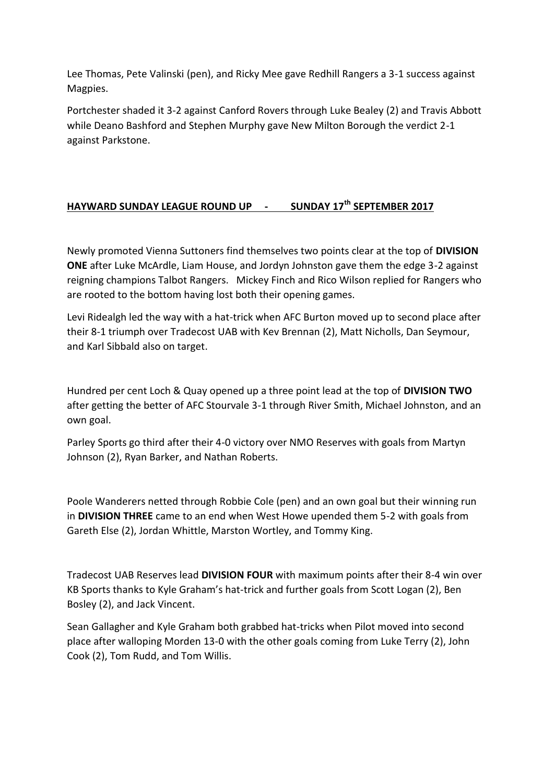Lee Thomas, Pete Valinski (pen), and Ricky Mee gave Redhill Rangers a 3-1 success against Magpies.

Portchester shaded it 3-2 against Canford Rovers through Luke Bealey (2) and Travis Abbott while Deano Bashford and Stephen Murphy gave New Milton Borough the verdict 2-1 against Parkstone.

## **HAYWARD SUNDAY LEAGUE ROUND UP - SUNDAY 17th SEPTEMBER 2017**

Newly promoted Vienna Suttoners find themselves two points clear at the top of **DIVISION ONE** after Luke McArdle, Liam House, and Jordyn Johnston gave them the edge 3-2 against reigning champions Talbot Rangers. Mickey Finch and Rico Wilson replied for Rangers who are rooted to the bottom having lost both their opening games.

Levi Ridealgh led the way with a hat-trick when AFC Burton moved up to second place after their 8-1 triumph over Tradecost UAB with Kev Brennan (2), Matt Nicholls, Dan Seymour, and Karl Sibbald also on target.

Hundred per cent Loch & Quay opened up a three point lead at the top of **DIVISION TWO**  after getting the better of AFC Stourvale 3-1 through River Smith, Michael Johnston, and an own goal.

Parley Sports go third after their 4-0 victory over NMO Reserves with goals from Martyn Johnson (2), Ryan Barker, and Nathan Roberts.

Poole Wanderers netted through Robbie Cole (pen) and an own goal but their winning run in **DIVISION THREE** came to an end when West Howe upended them 5-2 with goals from Gareth Else (2), Jordan Whittle, Marston Wortley, and Tommy King.

Tradecost UAB Reserves lead **DIVISION FOUR** with maximum points after their 8-4 win over KB Sports thanks to Kyle Graham's hat-trick and further goals from Scott Logan (2), Ben Bosley (2), and Jack Vincent.

Sean Gallagher and Kyle Graham both grabbed hat-tricks when Pilot moved into second place after walloping Morden 13-0 with the other goals coming from Luke Terry (2), John Cook (2), Tom Rudd, and Tom Willis.